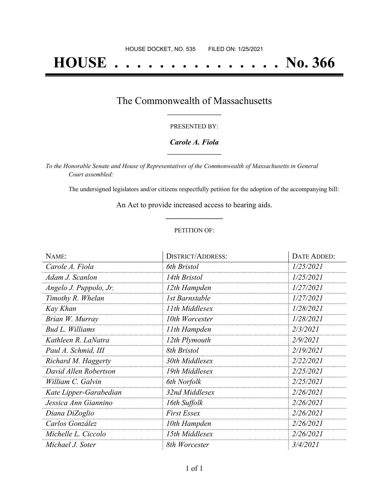# **HOUSE . . . . . . . . . . . . . . . No. 366**

## The Commonwealth of Massachusetts **\_\_\_\_\_\_\_\_\_\_\_\_\_\_\_\_\_**

#### PRESENTED BY:

#### *Carole A. Fiola* **\_\_\_\_\_\_\_\_\_\_\_\_\_\_\_\_\_**

*To the Honorable Senate and House of Representatives of the Commonwealth of Massachusetts in General Court assembled:*

The undersigned legislators and/or citizens respectfully petition for the adoption of the accompanying bill:

An Act to provide increased access to hearing aids. **\_\_\_\_\_\_\_\_\_\_\_\_\_\_\_**

#### PETITION OF:

| NAME:                  | <b>DISTRICT/ADDRESS:</b> | DATE ADDED: |
|------------------------|--------------------------|-------------|
| Carole A. Fiola        | 6th Bristol              | 1/25/2021   |
| Adam J. Scanlon        | 14th Bristol             | 1/25/2021   |
| Angelo J. Puppolo, Jr. | 12th Hampden             | 1/27/2021   |
| Timothy R. Whelan      | 1st Barnstable           | 1/27/2021   |
| Kay Khan               | 11th Middlesex           | 1/28/2021   |
| Brian W. Murray        | 10th Worcester           | 1/28/2021   |
| <b>Bud L. Williams</b> | 11th Hampden             | 2/3/2021    |
| Kathleen R. LaNatra    | 12th Plymouth            | 2/9/2021    |
| Paul A. Schmid, III    | 8th Bristol              | 2/19/2021   |
| Richard M. Haggerty    | 30th Middlesex           | 2/22/2021   |
| David Allen Robertson  | 19th Middlesex           | 2/25/2021   |
| William C. Galvin      | 6th Norfolk              | 2/25/2021   |
| Kate Lipper-Garabedian | 32nd Middlesex           | 2/26/2021   |
| Jessica Ann Giannino   | 16th Suffolk             | 2/26/2021   |
| Diana DiZoglio         | <b>First Essex</b>       | 2/26/2021   |
| Carlos González        | 10th Hampden             | 2/26/2021   |
| Michelle L. Ciccolo    | 15th Middlesex           | 2/26/2021   |
| Michael J. Soter       | 8th Worcester            | 3/4/2021    |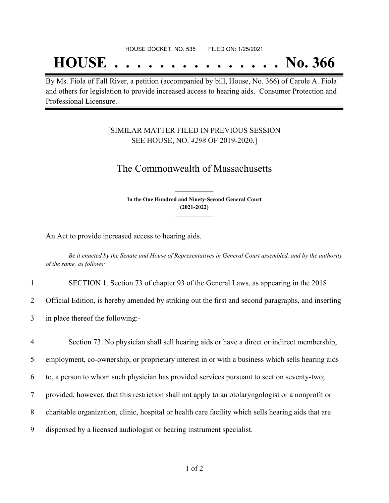## **HOUSE . . . . . . . . . . . . . . . No. 366**

By Ms. Fiola of Fall River, a petition (accompanied by bill, House, No. 366) of Carole A. Fiola and others for legislation to provide increased access to hearing aids. Consumer Protection and Professional Licensure.

### [SIMILAR MATTER FILED IN PREVIOUS SESSION SEE HOUSE, NO. *4298* OF 2019-2020.]

## The Commonwealth of Massachusetts

**In the One Hundred and Ninety-Second General Court (2021-2022) \_\_\_\_\_\_\_\_\_\_\_\_\_\_\_**

**\_\_\_\_\_\_\_\_\_\_\_\_\_\_\_**

An Act to provide increased access to hearing aids.

Be it enacted by the Senate and House of Representatives in General Court assembled, and by the authority *of the same, as follows:*

1 SECTION 1. Section 73 of chapter 93 of the General Laws, as appearing in the 2018

2 Official Edition, is hereby amended by striking out the first and second paragraphs, and inserting

3 in place thereof the following:-

 Section 73. No physician shall sell hearing aids or have a direct or indirect membership, employment, co-ownership, or proprietary interest in or with a business which sells hearing aids to, a person to whom such physician has provided services pursuant to section seventy-two; provided, however, that this restriction shall not apply to an otolaryngologist or a nonprofit or charitable organization, clinic, hospital or health care facility which sells hearing aids that are dispensed by a licensed audiologist or hearing instrument specialist.